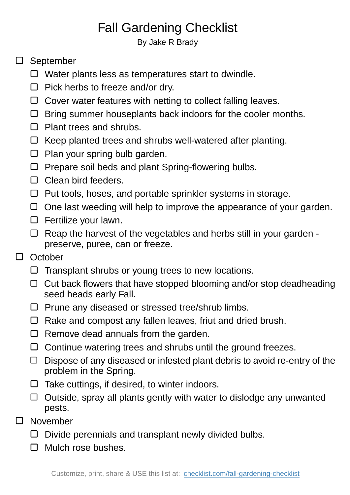## Fall Gardening Checklist

By Jake R Brady

## □ September

- $\Box$  Water plants less as temperatures start to dwindle.
- $\Box$  Pick herbs to freeze and/or dry.
- $\Box$  Cover water features with netting to collect falling leaves.
- $\Box$  Bring summer houseplants back indoors for the cooler months.
- $\Box$  Plant trees and shrubs.
- $\Box$  Keep planted trees and shrubs well-watered after planting.
- $\square$  Plan your spring bulb garden.
- $\Box$  Prepare soil beds and plant Spring-flowering bulbs.
- $\Box$  Clean bird feeders.
- $\Box$  Put tools, hoses, and portable sprinkler systems in storage.
- $\Box$  One last weeding will help to improve the appearance of your garden.
- $\square$  Fertilize your lawn.
- $\Box$  Reap the harvest of the vegetables and herbs still in your garden preserve, puree, can or freeze.
- $\Box$ **October** 
	- $\Box$  Transplant shrubs or young trees to new locations.
	- $\Box$  Cut back flowers that have stopped blooming and/or stop deadheading seed heads early Fall.
	- $\square$  Prune any diseased or stressed tree/shrub limbs.
	- $\Box$  Rake and compost any fallen leaves, friut and dried brush.
	- $\Box$  Remove dead annuals from the garden.
	- $\Box$  Continue watering trees and shrubs until the ground freezes.
	- $\Box$  Dispose of any diseased or infested plant debris to avoid re-entry of the problem in the Spring.
	- $\Box$  Take cuttings, if desired, to winter indoors.
	- $\Box$  Outside, spray all plants gently with water to dislodge any unwanted pests.
- $\Box$ November
	- $\square$  Divide perennials and transplant newly divided bulbs.
	- $\Box$  Mulch rose bushes.